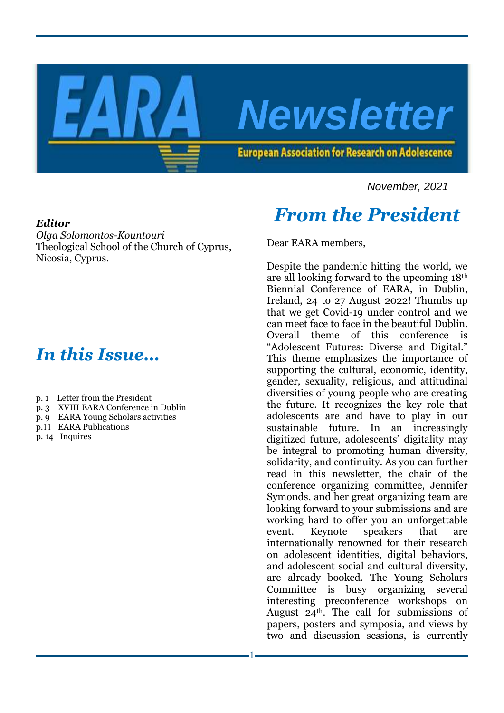

*November, 2021*

#### *Editor*

*Olga Solomontos-Kountouri* Theological School of the Church of Cyprus, Nicosia, Cyprus.

## *In this Issue…*

- p. 1 Letter from the President
- p. 3 XVIII EARA Conference in Dublin
- p. 9 EARA Young Scholars activities
- p.11 EARA Publications
- p. 14 Inquires

# *From the President*

Dear EARA members,

Despite the pandemic hitting the world, we are all looking forward to the upcoming 18th Biennial Conference of EARA, in Dublin, Ireland, 24 to 27 August 2022! Thumbs up that we get Covid-19 under control and we can meet face to face in the beautiful Dublin. Overall theme of this conference is "Adolescent Futures: Diverse and Digital." This theme emphasizes the importance of supporting the cultural, economic, identity, gender, sexuality, religious, and attitudinal diversities of young people who are creating the future. It recognizes the key role that adolescents are and have to play in our sustainable future. In an increasingly digitized future, adolescents' digitality may be integral to promoting human diversity, solidarity, and continuity. As you can further read in this newsletter, the chair of the conference organizing committee, Jennifer Symonds, and her great organizing team are looking forward to your submissions and are working hard to offer you an unforgettable event. Keynote speakers that are internationally renowned for their research on adolescent identities, digital behaviors, and adolescent social and cultural diversity, are already booked. The Young Scholars Committee is busy organizing several interesting preconference workshops on August 24th. The call for submissions of papers, posters and symposia, and views by two and discussion sessions, is currently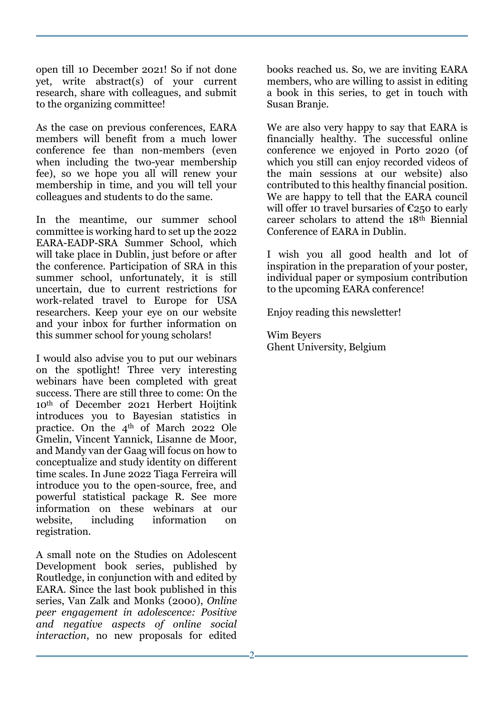open till 10 December 2021! So if not done yet, write abstract(s) of your current research, share with colleagues, and submit to the organizing committee!

As the case on previous conferences, EARA members will benefit from a much lower conference fee than non-members (even when including the two-year membership fee), so we hope you all will renew your membership in time, and you will tell your colleagues and students to do the same.

In the meantime, our summer school committee is working hard to set up the 2022 EARA-EADP-SRA Summer School, which will take place in Dublin, just before or after the conference. Participation of SRA in this summer school, unfortunately, it is still uncertain, due to current restrictions for work-related travel to Europe for USA researchers. Keep your eye on our website and your inbox for further information on this summer school for young scholars!

I would also advise you to put our webinars on the spotlight! Three very interesting webinars have been completed with great success. There are still three to come: On the 10th of December 2021 Herbert Hoijtink introduces you to Bayesian statistics in practice. On the 4th of March 2022 Ole Gmelin, Vincent Yannick, Lisanne de Moor, and Mandy van der Gaag will focus on how to conceptualize and study identity on different time scales. In June 2022 Tiaga Ferreira will introduce you to the open-source, free, and powerful statistical package R. See more information on these webinars at our website, including information on registration.

A small note on the Studies on Adolescent Development book series, published by Routledge, in conjunction with and edited by EARA. Since the last book published in this series, Van Zalk and Monks (2000), *Online peer engagement in adolescence: Positive and negative aspects of online social interaction*, no new proposals for edited books reached us. So, we are inviting EARA members, who are willing to assist in editing a book in this series, to get in touch with Susan Branje.

We are also very happy to say that EARA is financially healthy. The successful online conference we enjoyed in Porto 2020 (of which you still can enjoy recorded videos of the main sessions at our website) also contributed to this healthy financial position. We are happy to tell that the EARA council will offer 10 travel bursaries of  $E$ 250 to early career scholars to attend the 18th Biennial Conference of EARA in Dublin.

I wish you all good health and lot of inspiration in the preparation of your poster, individual paper or symposium contribution to the upcoming EARA conference!

Enjoy reading this newsletter!

Wim Beyers Ghent University, Belgium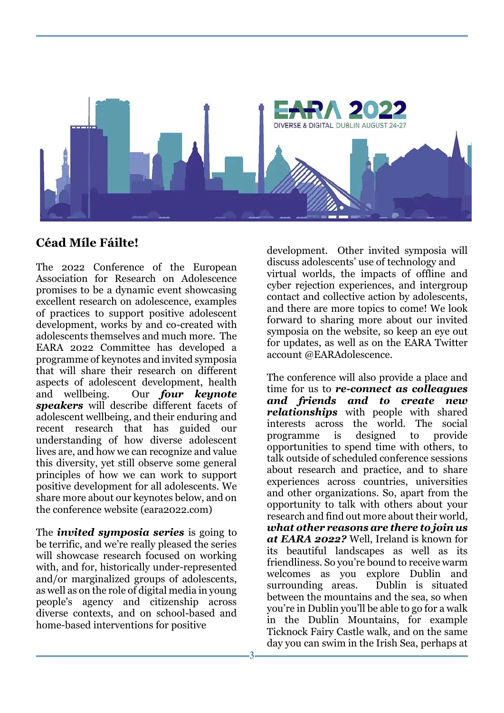

### **Céad Míle Fáilte!**

The 2022 Conference of the European Association for Research on Adolescence promises to be a dynamic event showcasing excellent research on adolescence, examples of practices to support positive adolescent development, works by and co-created with adolescents themselves and much more. The EARA 2022 Committee has developed a programme of keynotes and invited symposia that will share their research on different aspects of adolescent development, health and wellbeing. Our *four keynote speakers* will describe different facets of adolescent wellbeing, and their enduring and recent research that has guided our understanding of how diverse adolescent lives are, and how we can recognize and value this diversity, yet still observe some general principles of how we can work to support positive development for all adolescents. We share more about our keynotes below, and on the conference website (eara2022.com)

The *invited symposia series* is going to be terrific, and we're really pleased the series will showcase research focused on working with, and for, historically under-represented and/or marginalized groups of adolescents, as well as on the role of digital media in young people's agency and citizenship across diverse contexts, and on school-based and home-based interventions for positive

development. Other invited symposia will discuss adolescents' use of technology and virtual worlds, the impacts of offline and cyber rejection experiences, and intergroup contact and collective action by adolescents, and there are more topics to come! We look forward to sharing more about our invited symposia on the website, so keep an eye out for updates, as well as on the EARA Twitter account @EARAdolescence.

The conference will also provide a place and time for us to *re-connect as colleagues and friends and to create new relationships* with people with shared interests across the world. The social programme is designed to provide opportunities to spend time with others, to talk outside of scheduled conference sessions about research and practice, and to share experiences across countries, universities and other organizations. So, apart from the opportunity to talk with others about your research and find out more about their world, *what other reasons are there to join us at EARA 2022?* Well, Ireland is known for its beautiful landscapes as well as its friendliness. So you're bound to receive warm welcomes as you explore Dublin and surrounding areas. Dublin is situated between the mountains and the sea, so when you're in Dublin you'll be able to go for a walk in the Dublin Mountains, for example Ticknock Fairy Castle walk, and on the same day you can swim in the Irish Sea, perhaps at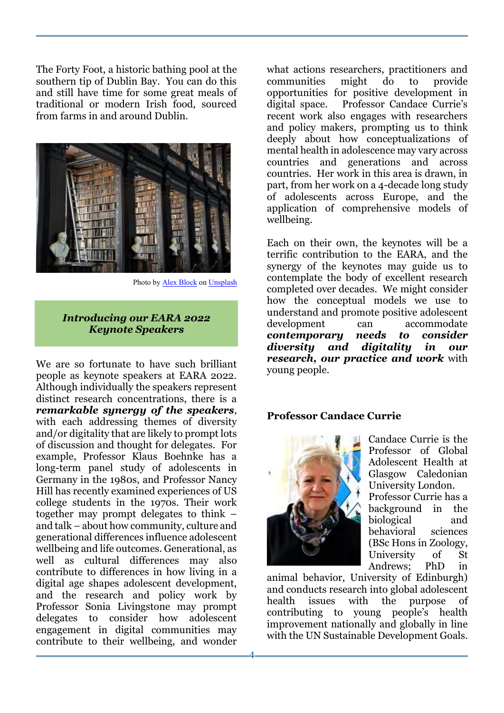The Forty Foot, a historic bathing pool at the southern tip of Dublin Bay. You can do this and still have time for some great meals of traditional or modern Irish food, sourced from farms in and around Dublin.



Photo by **Alex Block** on *Unsplash* 

#### *Introducing our EARA 2022 Keynote Speakers*

We are so fortunate to have such brilliant people as keynote speakers at EARA 2022. Although individually the speakers represent distinct research concentrations, there is a *remarkable synergy of the speakers,*  with each addressing themes of diversity and/or digitality that are likely to prompt lots of discussion and thought for delegates. For example, Professor Klaus Boehnke has a long-term panel study of adolescents in Germany in the 1980s, and Professor Nancy Hill has recently examined experiences of US college students in the 1970s. Their work together may prompt delegates to think – and talk – about how community, culture and generational differences influence adolescent wellbeing and life outcomes. Generational, as well as cultural differences may also contribute to differences in how living in a digital age shapes adolescent development, and the research and policy work by Professor Sonia Livingstone may prompt delegates to consider how adolescent engagement in digital communities may contribute to their wellbeing, and wonder

what actions researchers, practitioners and<br>communities might do to provide communities might do to opportunities for positive development in digital space. Professor Candace Currie's recent work also engages with researchers and policy makers, prompting us to think deeply about how conceptualizations of mental health in adolescence may vary across countries and generations and across countries. Her work in this area is drawn, in part, from her work on a 4-decade long study of adolescents across Europe, and the application of comprehensive models of wellbeing.

Each on their own, the keynotes will be a terrific contribution to the EARA, and the synergy of the keynotes may guide us to contemplate the body of excellent research completed over decades. We might consider how the conceptual models we use to understand and promote positive adolescent development can accommodate *contemporary needs to consider diversity and digitality in our research, our practice and work* with young people.

#### **Professor Candace Currie**



Candace Currie is the Professor of Global Adolescent Health at Glasgow Caledonian University London. Professor Currie has a background in the biological and behavioral sciences (BSc Hons in Zoology, University of St

animal behavior, University of Edinburgh) and conducts research into global adolescent health issues with the purpose of contributing to young people's health improvement nationally and globally in line with the UN Sustainable Development Goals.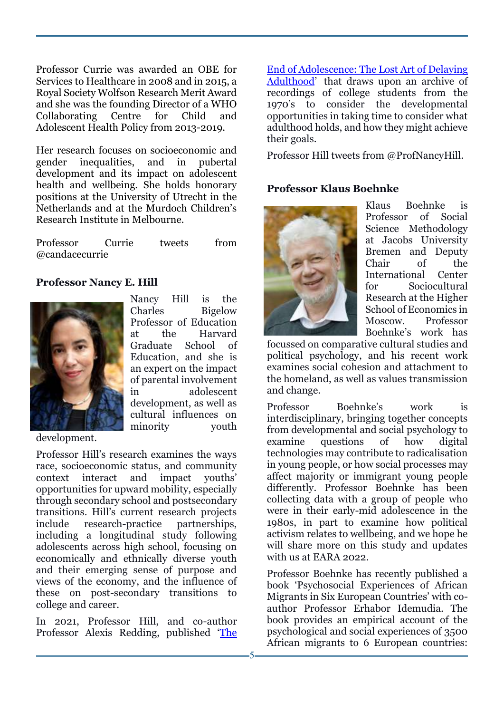Professor Currie was awarded an OBE for Services to Healthcare in 2008 and in 2015, a Royal Society Wolfson Research Merit Award and she was the founding Director of a WHO Collaborating Centre for Child and Adolescent Health Policy from 2013-2019.

Her research focuses on socioeconomic and gender inequalities, and in pubertal development and its impact on adolescent health and wellbeing. She holds honorary positions at the University of Utrecht in the Netherlands and at the Murdoch Children's Research Institute in Melbourne.

Professor Currie tweets from @candacecurrie

#### **Professor Nancy E. Hill**



Nancy Hill is the Charles Bigelow Professor of Education at the Harvard Graduate School of Education, and she is an expert on the impact of parental involvement in adolescent development, as well as cultural influences on minority youth

development.

Professor Hill's research examines the ways race, socioeconomic status, and community context interact and impact youths' opportunities for upward mobility, especially through secondary school and postsecondary transitions. Hill's current research projects include research-practice partnerships, including a longitudinal study following adolescents across high school, focusing on economically and ethnically diverse youth and their emerging sense of purpose and views of the economy, and the influence of these on post-secondary transitions to college and career.

In 2021, Professor Hill, and co-author Professor Alexis Redding, published '[The](https://www.hup.harvard.edu/catalog.php?isbn=9780674916500) 

End of Adolescence: [The Lost Art of Delaying](https://www.hup.harvard.edu/catalog.php?isbn=9780674916500)  [Adulthood](https://www.hup.harvard.edu/catalog.php?isbn=9780674916500)' that draws upon an archive of recordings of college students from the 1970's to consider the developmental opportunities in taking time to consider what adulthood holds, and how they might achieve their goals.

Professor Hill tweets from @ProfNancyHill.

#### **Professor Klaus Boehnke**



Klaus Boehnke is Professor of Social Science Methodology at Jacobs University Bremen and Deputy Chair of the International Center for Sociocultural Research at the Higher School of Economics in Moscow. Professor Boehnke's work has

focussed on comparative cultural studies and political psychology, and his recent work examines social cohesion and attachment to the homeland, as well as values transmission and change.

Professor Boehnke's work is interdisciplinary, bringing together concepts from developmental and social psychology to examine questions of how digital technologies may contribute to radicalisation in young people, or how social processes may affect majority or immigrant young people differently. Professor Boehnke has been collecting data with a group of people who were in their early-mid adolescence in the 1980s, in part to examine how political activism relates to wellbeing, and we hope he will share more on this study and updates with us at EARA 2022.

Professor Boehnke has recently published a book 'Psychosocial Experiences of African Migrants in Six European Countries' with coauthor Professor Erhabor Idemudia. The book provides an empirical account of the psychological and social experiences of 3500 African migrants to 6 European countries: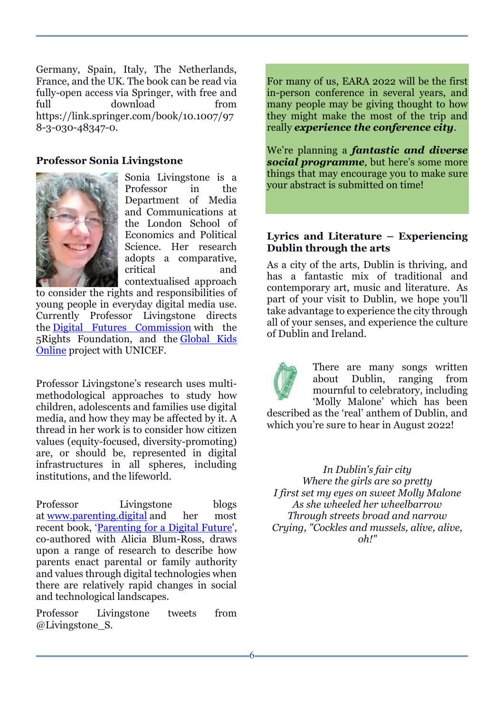Germany, Spain, Italy, The Netherlands, France, and the UK. The book can be read via fully-open access via Springer, with free and full download from https://link.springer.com/book/10.1007/97 8-3-030-48347-0.

#### **Professor Sonia Livingstone**



Sonia Livingstone is a Professor in the Department of Media and Communications at the London School of Economics and Political Science. Her research adopts a comparative, critical and contextualised approach

to consider the rights and responsibilities of young people in everyday digital media use. Currently Professor Livingstone directs the [Digital Futures Commission](https://digitalfuturescommission.org.uk/) with the 5Rights Foundation, and the [Global Kids](http://globalkidsonline.net/)  [Online](http://globalkidsonline.net/) project with UNICEF.

Professor Livingstone's research uses multimethodological approaches to study how children, adolescents and families use digital media, and how they may be affected by it. A thread in her work is to consider how citizen values (equity-focused, diversity-promoting) are, or should be, represented in digital infrastructures in all spheres, including institutions, and the lifeworld.

Professor Livingstone blogs at [www.parenting.digital](http://www.parenting.digital/) and her most recent book, '[Parenting for a Digital Future'](https://global.oup.com/academic/product/parenting-for-a-digital-future-9780190874704?cc=gb&lang=en&), co-authored with Alicia Blum-Ross, draws upon a range of research to describe how parents enact parental or family authority and values through digital technologies when there are relatively rapid changes in social and technological landscapes.

Professor Livingstone tweets from @Livingstone\_S.

For many of us, EARA 2022 will be the first in-person conference in several years, and many people may be giving thought to how they might make the most of the trip and really *experience the conference city*.

We're planning a *fantastic and diverse social programme*, but here's some more things that may encourage you to make sure your abstract is submitted on time!

#### **Lyrics and Literature – Experiencing Dublin through the arts**

As a city of the arts, Dublin is thriving, and has a fantastic mix of traditional and contemporary art, music and literature. As part of your visit to Dublin, we hope you'll take advantage to experience the city through all of your senses, and experience the culture of Dublin and Ireland.

> There are many songs written about Dublin, ranging from mournful to celebratory, including 'Molly Malone' which has been

described as the 'real' anthem of Dublin, and which you're sure to hear in August 2022!

*In Dublin's fair city Where the girls are so pretty I first set my eyes on sweet Molly Malone As she wheeled her wheelbarrow Through streets broad and narrow Crying, "Cockles and mussels, alive, alive, oh!"*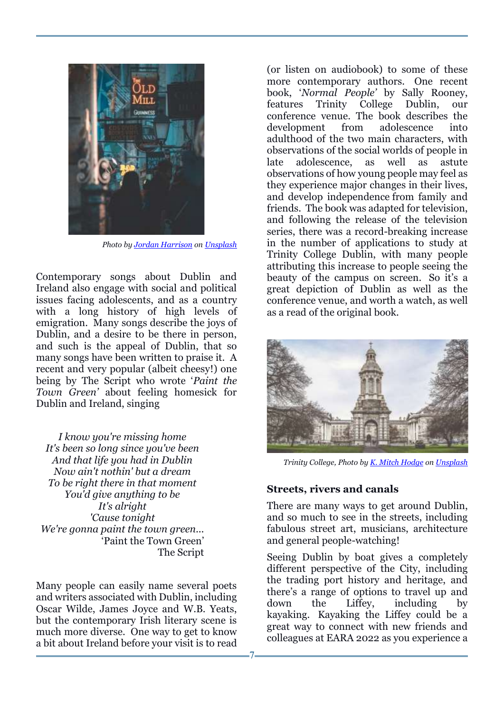

*Photo b[y Jordan Harrison](https://unsplash.com/@jordanharrison?utm_source=unsplash&utm_medium=referral&utm_content=creditCopyText) on [Unsplash](https://unsplash.com/s/photos/dublin-city?utm_source=unsplash&utm_medium=referral&utm_content=creditCopyText)*

Contemporary songs about Dublin and Ireland also engage with social and political issues facing adolescents, and as a country with a long history of high levels of emigration. Many songs describe the joys of Dublin, and a desire to be there in person, and such is the appeal of Dublin, that so many songs have been written to praise it. A recent and very popular (albeit cheesy!) one being by The Script who wrote '*Paint the Town Green'* about feeling homesick for Dublin and Ireland, singing

*I know you're missing home It's been so long since you've been And that life you had in Dublin Now ain't nothin' but a dream To be right there in that moment You'd give anything to be It's alright 'Cause tonight We're gonna paint the town green...* 'Paint the Town Green' The Script

Many people can easily name several poets and writers associated with Dublin, including Oscar Wilde, James Joyce and W.B. Yeats, but the contemporary Irish literary scene is much more diverse. One way to get to know a bit about Ireland before your visit is to read

(or listen on audiobook) to some of these more contemporary authors. One recent book, '*Normal People'* by Sally Rooney, features Trinity College Dublin, our conference venue. The book describes the development from adolescence into adulthood of the two main characters, with observations of the social worlds of people in late adolescence, as well as astute observations of how young people may feel as they experience major changes in their lives, and develop independence from family and friends. The book was adapted for television, and following the release of the television series, there was a record-breaking increase in the number of applications to study at Trinity College Dublin, with many people attributing this increase to people seeing the beauty of the campus on screen. So it's a great depiction of Dublin as well as the conference venue, and worth a watch, as well as a read of the original book.



*Trinity College, Photo b[y K. Mitch Hodge](https://unsplash.com/@kmitchhodge?utm_source=unsplash&utm_medium=referral&utm_content=creditCopyText) on [Unsplash](https://unsplash.com/s/photos/trinity-college-dublin?utm_source=unsplash&utm_medium=referral&utm_content=creditCopyText)*

#### **Streets, rivers and canals**

7

There are many ways to get around Dublin, and so much to see in the streets, including fabulous street art, musicians, architecture and general people-watching!

Seeing Dublin by boat gives a completely different perspective of the City, including the trading port history and heritage, and there's a range of options to travel up and down the Liffey, including by kayaking. Kayaking the Liffey could be a great way to connect with new friends and colleagues at EARA 2022 as you experience a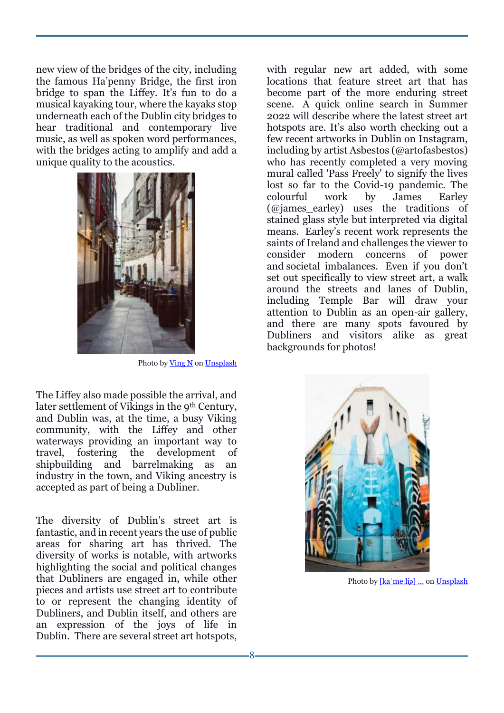new view of the bridges of the city, including the famous Ha'penny Bridge, the first iron bridge to span the Liffey. It's fun to do a musical kayaking tour, where the kayaks stop underneath each of the Dublin city bridges to hear traditional and contemporary live music, as well as spoken word performances, with the bridges acting to amplify and add a unique quality to the acoustics.



Photo b[y Ving N](https://unsplash.com/@ving_n?utm_source=unsplash&utm_medium=referral&utm_content=creditCopyText) o[n Unsplash](https://unsplash.com/@ving_n?utm_source=unsplash&utm_medium=referral&utm_content=creditCopyText)

The Liffey also made possible the arrival, and later settlement of Vikings in the 9<sup>th</sup> Century, and Dublin was, at the time, a busy Viking community, with the Liffey and other waterways providing an important way to travel, fostering the development of shipbuilding and barrelmaking as an industry in the town, and Viking ancestry is accepted as part of being a Dubliner.

The diversity of Dublin's street art is fantastic, and in recent years the use of public areas for sharing art has thrived. The diversity of works is notable, with artworks highlighting the social and political changes that Dubliners are engaged in, while other pieces and artists use street art to contribute to or represent the changing identity of Dubliners, and Dublin itself, and others are an expression of the joys of life in Dublin. There are several street art hotspots,

with regular new art added, with some locations that feature street art that has become part of the more enduring street scene. A quick online search in Summer 2022 will describe where the latest street art hotspots are. It's also worth checking out a few recent artworks in Dublin on Instagram, including by artist Asbestos (@artofasbestos) who has recently completed a very moving mural called 'Pass Freely' to signify the lives lost so far to the Covid-19 pandemic. The colourful work by James Earley (@james\_earley) uses the traditions of stained glass style but interpreted via digital means. Earley's recent work represents the saints of Ireland and challenges the viewer to consider modern concerns of power and societal imbalances. Even if you don't set out specifically to view street art, a walk around the streets and lanes of Dublin, including Temple Bar will draw your attention to Dublin as an open-air gallery, and there are many spots favoured by Dubliners and visitors alike as great backgrounds for photos!



Photo b[y \[ka](https://unsplash.com/@camelieinpic?utm_source=unsplash&utm_medium=referral&utm_content=creditCopyText)ˈmeːliə] ... o[n Unsplash](https://unsplash.com/s/photos/street-art-dublin?utm_source=unsplash&utm_medium=referral&utm_content=creditCopyText)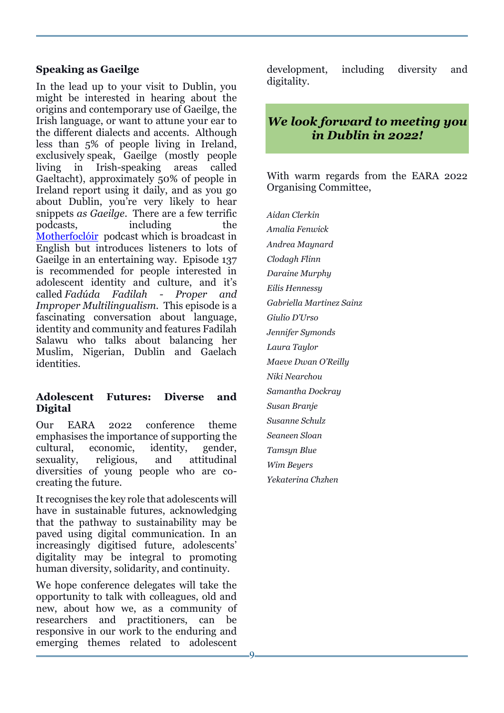#### **Speaking as Gaeilge**

In the lead up to your visit to Dublin, you might be interested in hearing about the origins and contemporary use of Gaeilge, the Irish language, or want to attune your ear to the different dialects and accents. Although less than 5% of people living in Ireland, exclusively speak, Gaeilge (mostly people living in Irish-speaking areas called Gaeltacht), approximately 50% of people in Ireland report using it daily, and as you go about Dublin, you're very likely to hear snippets *as Gaeilge*. There are a few terrific podcasts, including the [Motherfoclóir](https://audioboom.com/posts/7202452-82-my-dad-google-translated-a-porno-motherfocloir-beo-in-maynooth-pt-2) podcast which is broadcast in English but introduces listeners to lots of Gaeilge in an entertaining way. Episode 137 is recommended for people interested in adolescent identity and culture, and it's called *Fadúda Fadilah - Proper and Improper Multilingualism.* This episode is a fascinating conversation about language, identity and community and features Fadilah Salawu who talks about balancing her Muslim, Nigerian, Dublin and Gaelach identities.

#### **Adolescent Futures: Diverse and Digital**

Our EARA 2022 conference theme emphasises the importance of supporting the cultural, economic, identity, gender, sexuality, religious, and attitudinal diversities of young people who are cocreating the future.

It recognises the key role that adolescents will have in sustainable futures, acknowledging that the pathway to sustainability may be paved using digital communication. In an increasingly digitised future, adolescents' digitality may be integral to promoting human diversity, solidarity, and continuity.

We hope conference delegates will take the opportunity to talk with colleagues, old and new, about how we, as a community of researchers and practitioners, can be responsive in our work to the enduring and emerging themes related to adolescent

development, including diversity and digitality.

### *We look forward to meeting you in Dublin in 2022!*

With warm regards from the EARA 2022 Organising Committee,

*Aidan Clerkin Amalia Fenwick Andrea Maynard Clodagh Flinn Daraine Murphy Eilis Hennessy Gabriella Martinez Sainz Giulio D'Urso Jennifer Symonds Laura Taylor Maeve Dwan O'Reilly Niki Nearchou Samantha Dockray Susan Branje Susanne Schulz Seaneen Sloan Tamsyn Blue*

*Wim Beyers*

*Yekaterina Chzhen*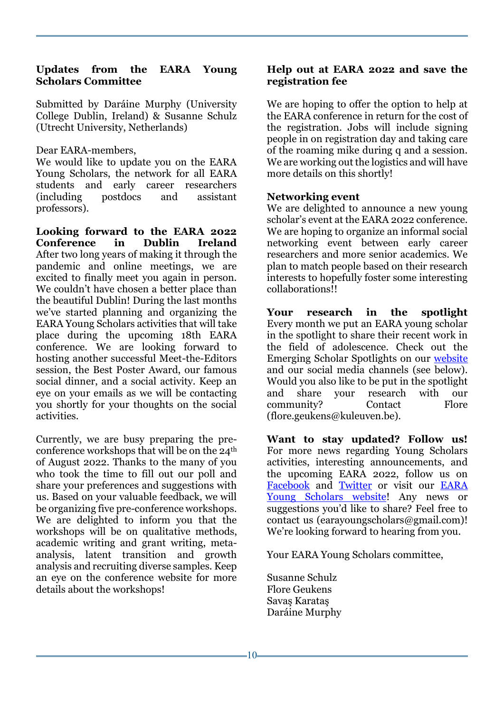#### **Updates from the EARA Young Scholars Committee**

Submitted by Daráine Murphy (University College Dublin, Ireland) & Susanne Schulz (Utrecht University, Netherlands)

Dear EARA-members,

We would like to update you on the EARA Young Scholars, the network for all EARA students and early career researchers (including postdocs and assistant professors).

**Looking forward to the EARA 2022 Conference in Dublin Ireland**  After two long years of making it through the pandemic and online meetings, we are excited to finally meet you again in person. We couldn't have chosen a better place than the beautiful Dublin! During the last months we've started planning and organizing the EARA Young Scholars activities that will take place during the upcoming 18th EARA conference. We are looking forward to hosting another successful Meet-the-Editors session, the Best Poster Award, our famous social dinner, and a social activity. Keep an eye on your emails as we will be contacting you shortly for your thoughts on the social activities.

Currently, we are busy preparing the preconference workshops that will be on the 24th of August 2022. Thanks to the many of you who took the time to fill out our poll and share your preferences and suggestions with us. Based on your valuable feedback, we will be organizing five pre-conference workshops. We are delighted to inform you that the workshops will be on qualitative methods, academic writing and grant writing, metaanalysis, latent transition and growth analysis and recruiting diverse samples. Keep an eye on the conference website for more details about the workshops!

#### **Help out at EARA 2022 and save the registration fee**

We are hoping to offer the option to help at the EARA conference in return for the cost of the registration. Jobs will include signing people in on registration day and taking care of the roaming mike during q and a session. We are working out the logistics and will have more details on this shortly!

#### **Networking event**

We are delighted to announce a new young scholar's event at the EARA 2022 conference. We are hoping to organize an informal social networking event between early career researchers and more senior academics. We plan to match people based on their research interests to hopefully foster some interesting collaborations!!

**Your research in the spotlight** Every month we put an EARA young scholar in the spotlight to share their recent work in the field of adolescence. Check out the Emerging Scholar Spotlights on our [website](https://www.earaonline.org/young-scholars/emerging-scholar-spotlight/) and our social media channels (see below). Would you also like to be put in the spotlight<br>and share your research with our and share your research with our community? Contact Flore (flore.geukens@kuleuven.be).

**Want to stay updated? Follow us!** For more news regarding Young Scholars activities, interesting announcements, and the upcoming EARA 2022, follow us on [Facebook](https://www.facebook.com/earayoungscholars/) and [Twitter](https://twitter.com/earayoung) or visit our [EARA](https://www.earaonline.org/young-scholars/about/)  [Young Scholars website!](https://www.earaonline.org/young-scholars/about/) Any news or suggestions you'd like to share? Feel free to contact us (earayoungscholars@gmail.com)! We're looking forward to hearing from you.

Your EARA Young Scholars committee,

Susanne Schulz Flore Geukens Savaş Karataş Daráine Murphy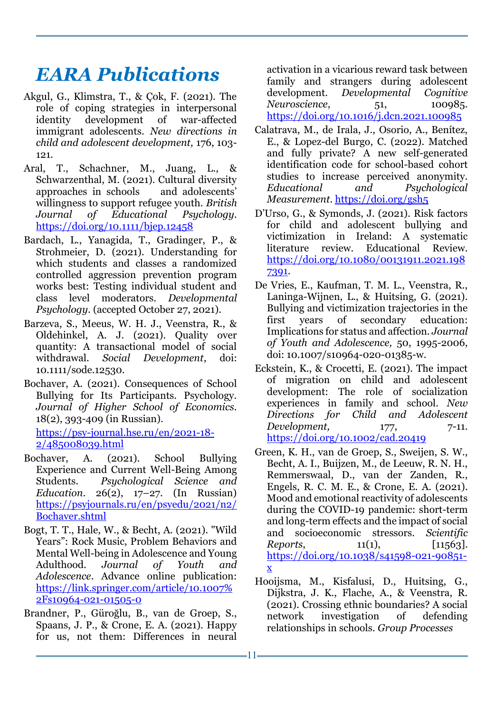## *EARA Publications*

- Akgul, G., Klimstra, T., & Çok, F. (2021). The role of coping strategies in interpersonal identity development of war-affected immigrant adolescents. *New directions in child and adolescent development,* 176, 103- 121.
- Aral, T., Schachner, M., Juang, L., & Schwarzenthal, M. (2021). Cultural diversity approaches in schools and adolescents' willingness to support refugee youth. *British Journal of Educational Psychology.* <https://doi.org/10.1111/bjep.12458>
- Bardach, L., Yanagida, T., Gradinger, P., & Strohmeier, D. (2021). Understanding for which students and classes a randomized controlled aggression prevention program works best: Testing individual student and class level moderators. *Developmental Psychology*. (accepted October 27, 2021).
- Barzeva, S., Meeus, W. H. J., Veenstra, R., & Oldehinkel, A. J. (2021). Quality over quantity: A transactional model of social withdrawal. *Social Development*, doi: 10.1111/sode.12530.
- Bochaver, A. (2021). Consequences of School Bullying for Its Participants. Psychology. *Journal of Higher School of Economics.* 18(2), 393-409 (in Russian).

[https://psy-journal.hse.ru/en/2021-18-](https://psy-journal.hse.ru/en/2021-18-2/485008039.html) [2/485008039.html](https://psy-journal.hse.ru/en/2021-18-2/485008039.html)

- Bochaver, A. (2021). School Bullying Experience and Current Well-Being Among Students. *Psychological Science and Education*. 26(2), 17–27. (In Russian) [https://psyjournals.ru/en/psyedu/2021/n2/](https://psyjournals.ru/en/psyedu/2021/n2/Bochaver.shtml) [Bochaver.shtml](https://psyjournals.ru/en/psyedu/2021/n2/Bochaver.shtml)
- Bogt, T. T., Hale, W., & Becht, A. (2021). "Wild Years": Rock Music, Problem Behaviors and Mental Well-being in Adolescence and Young Adulthood. *Journal of Youth and Adolescence*. Advance online publication: [https://link.springer.com/article/10.1007%](https://link.springer.com/article/10.1007%2Fs10964-021-01505-0) [2Fs10964-021-01505-0](https://link.springer.com/article/10.1007%2Fs10964-021-01505-0)
- Brandner, P., Güroğlu, B., van de Groep, S., Spaans, J. P., & Crone, E. A. (2021). Happy for us, not them: Differences in neural

activation in a vicarious reward task between family and strangers during adolescent development. *Developmental Cognitive Neuroscience*, 51, 100985. <https://doi.org/10.1016/j.dcn.2021.100985>

- Calatrava, M., de Irala, J., Osorio, A., Benítez, E., & Lopez-del Burgo, C. (2022). Matched and fully private? A new self-generated identification code for school-based cohort studies to increase perceived anonymity. *Educational and Psychological Measurement*.<https://doi.org/gsh5>
- D'Urso, G., & Symonds, J. (2021). Risk factors for child and adolescent bullying and victimization in Ireland: A systematic literature review. Educational Review. [https://doi.org/10.1080/00131911.2021.198](https://doi.org/10.1080/00131911.2021.1987391) [7391.](https://doi.org/10.1080/00131911.2021.1987391)
- De Vries, E., Kaufman, T. M. L., Veenstra, R., Laninga-Wijnen, L., & Huitsing, G. (2021). Bullying and victimization trajectories in the first years of secondary education: Implications for status and affection. *Journal of Youth and Adolescence,* 50, 1995-2006, doi: 10.1007/s10964-020-01385-w.
- Eckstein, K., & Crocetti, E. (2021). The impact of migration on child and adolescent development: The role of socialization experiences in family and school. *New Directions for Child and Adolescent Development,* 177, 7-11. <https://doi.org/10.1002/cad.20419>
- Green, K. H., van de Groep, S., Sweijen, S. W., Becht, A. I., Buijzen, M., de Leeuw, R. N. H., Remmerswaal, D., van der Zanden, R., Engels, R. C. M. E., & Crone, E. A. (2021). Mood and emotional reactivity of adolescents during the COVID-19 pandemic: short-term and long-term effects and the impact of social and socioeconomic stressors. *Scientific Reports.* 11(1), [11563]. [https://doi.org/10.1038/s41598-021-90851](https://doi.org/10.1038/s41598-021-90851-x) [x](https://doi.org/10.1038/s41598-021-90851-x)
- Hooijsma, M., Kisfalusi, D., Huitsing, G., Dijkstra, J. K., Flache, A., & Veenstra, R. (2021). Crossing ethnic boundaries? A social network investigation of defending relationships in schools. *Group Processes*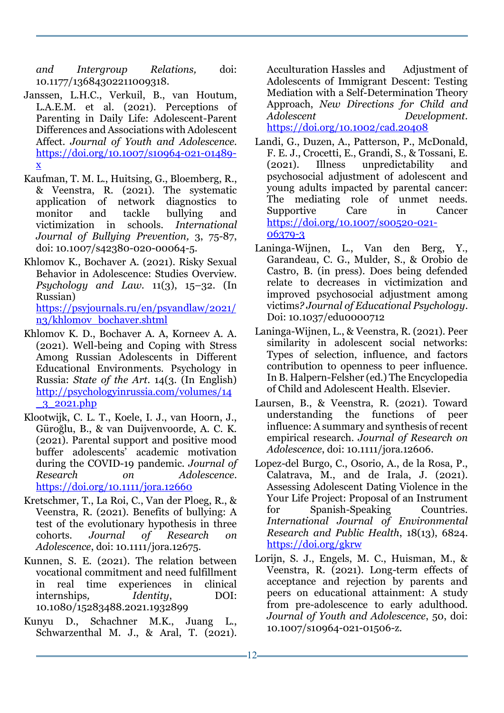*and Intergroup Relations,* doi: 10.1177/13684302211009318.

- Janssen, L.H.C., Verkuil, B., van Houtum, L.A.E.M. et al. (2021). Perceptions of Parenting in Daily Life: Adolescent-Parent Differences and Associations with Adolescent Affect. *Journal of Youth and Adolescence.* [https://doi.org/10.1007/s10964-021-01489](https://doi.org/10.1007/s10964-021-01489-x) [x](https://doi.org/10.1007/s10964-021-01489-x)
- Kaufman, T. M. L., Huitsing, G., Bloemberg, R., & Veenstra, R. (2021). The systematic application of network diagnostics to monitor and tackle bullying and victimization in schools. *International Journal of Bullying Prevention,* 3, 75-87, doi: 10.1007/s42380-020-00064-5.
- Khlomov K., Bochaver A. (2021). Risky Sexual Behavior in Adolescence: Studies Overview. *Psychology and Law.* 11(3), 15–32. (In Russian) [https://psyjournals.ru/en/psyandlaw/2021/](https://psyjournals.ru/en/psyandlaw/2021/n3/khlomov_bochaver.shtml)

[n3/khlomov\\_bochaver.shtml](https://psyjournals.ru/en/psyandlaw/2021/n3/khlomov_bochaver.shtml)

- Khlomov K. D., Bochaver A. A, Korneev A. A. (2021). Well-being and Coping with Stress Among Russian Adolescents in Different Educational Environments. Psychology in Russia: *State of the Art*. 14(3. (In English) [http://psychologyinrussia.com/volumes/14](http://psychologyinrussia.com/volumes/14_3_2021.php) [\\_3\\_2021.php](http://psychologyinrussia.com/volumes/14_3_2021.php)
- Klootwijk, C. L. T., Koele, I. J., van Hoorn, J., Güroğlu, B., & van Duijvenvoorde, A. C. K. (2021). Parental support and positive mood buffer adolescents' academic motivation during the COVID-19 pandemic. *Journal of Research on Adolescence*. <https://doi.org/10.1111/jora.12660>
- Kretschmer, T., La Roi, C., Van der Ploeg, R., & Veenstra, R. (2021). Benefits of bullying: A test of the evolutionary hypothesis in three cohorts*. Journal of Research on Adolescence*, doi: 10.1111/jora.12675.
- Kunnen, S. E. (2021). The relation between vocational commitment and need fulfillment in real time experiences in clinical internships, *Identity*, **DOI:** 10.1080/15283488.2021.1932899
- Kunyu D., Schachner M.K., Juang L., Schwarzenthal M. J., & Aral, T. (2021).

Acculturation Hassles and Adjustment of Adolescents of Immigrant Descent: Testing Mediation with a Self-Determination Theory Approach, *New Directions for Child and Adolescent Development.* <https://doi.org/10.1002/cad.20408>

- Landi, G., Duzen, A., Patterson, P., McDonald, F. E. J., Crocetti, E., Grandi, S., & Tossani, E. (2021). Illness unpredictability and psychosocial adjustment of adolescent and young adults impacted by parental cancer: The mediating role of unmet needs. Supportive Care in Cancer [https://doi.org/10.1007/s00520-021-](https://doi.org/10.1007/s00520-021-06379-3) [06379-3](https://doi.org/10.1007/s00520-021-06379-3)
- Laninga-Wijnen, L., Van den Berg, Y., Garandeau, C. G., Mulder, S., & Orobio de Castro, B. (in press). Does being defended relate to decreases in victimization and improved psychosocial adjustment among victims*? Journal of Educational Psychology*. Doi: 10.1037/edu0000712
- Laninga-Wijnen, L., & Veenstra, R. (2021). Peer similarity in adolescent social networks: Types of selection, influence, and factors contribution to openness to peer influence. In B. Halpern-Felsher (ed.) The Encyclopedia of Child and Adolescent Health. Elsevier.
- Laursen, B., & Veenstra, R. (2021). Toward understanding the functions of peer influence: A summary and synthesis of recent empirical research. *Journal of Research on Adolescence*, doi: 10.1111/jora.12606.
- Lopez-del Burgo, C., Osorio, A., de la Rosa, P., Calatrava, M., and de Irala, J. (2021). Assessing Adolescent Dating Violence in the Your Life Project: Proposal of an Instrument for Spanish-Speaking Countries. *International Journal of Environmental Research and Public Health*, 18(13), 6824. <https://doi.org/gkrw>
- Loriin, S. J., Engels, M. C., Huisman, M., & Veenstra, R. (2021). Long-term effects of acceptance and rejection by parents and peers on educational attainment: A study from pre-adolescence to early adulthood. *Journal of Youth and Adolescence*, 50, doi: 10.1007/s10964-021-01506-z.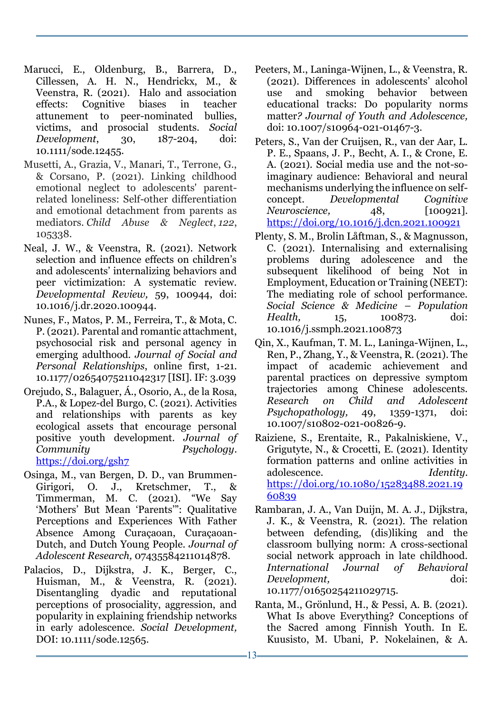- Marucci, E., Oldenburg, B., Barrera, D., Cillessen, A. H. N., Hendrickx, M., & Veenstra, R. (2021). Halo and association effects: Cognitive biases in teacher attunement to peer-nominated bullies, victims, and prosocial students. *Social Development*, 30, 187-204, doi: 10.1111/sode.12455.
- Musetti, A., Grazia, V., Manari, T., Terrone, G., & Corsano, P. (2021). Linking childhood emotional neglect to adolescents' parentrelated loneliness: Self-other differentiation and emotional detachment from parents as mediators. *Child Abuse & Neglect*, *122*, 105338.
- Neal, J. W., & Veenstra, R. (2021). Network selection and influence effects on children's and adolescents' internalizing behaviors and peer victimization: A systematic review. *Developmental Review,* 59, 100944, doi: 10.1016/j.dr.2020.100944.
- Nunes, F., Matos, P. M., Ferreira, T., & Mota, C. P. (2021). Parental and romantic attachment, psychosocial risk and personal agency in emerging adulthood. *Journal of Social and Personal Relationships*, online first, 1-21. 10.1177/02654075211042317 [ISI]. IF: 3.039
- Orejudo, S., Balaguer, Á., Osorio, A., de la Rosa, P.A., & Lopez-del Burgo, C. (2021). Activities and relationships with parents as key ecological assets that encourage personal positive youth development. *Journal of Community Psychology*. <https://doi.org/gsh7>
- Osinga, M., van Bergen, D. D., van Brummen-Girigori, O. J., Kretschmer, T., &<br>Timmerman, M. C. (2021). "We Say Timmerman, M. C.  $(2021)$ . 'Mothers' But Mean 'Parents'": Qualitative Perceptions and Experiences With Father Absence Among Curaçaoan, Curaçaoan-Dutch, and Dutch Young People. *Journal of Adolescent Research,* 07435584211014878.
- Palacios, D., Dijkstra, J. K., Berger, C., Huisman, M., & Veenstra, R. (2021). Disentangling dyadic and reputational perceptions of prosociality, aggression, and popularity in explaining friendship networks in early adolescence. *Social Development,* DOI: 10.1111/sode.12565.
- Peeters, M., Laninga-Wijnen, L., & Veenstra, R. (2021). Differences in adolescents' alcohol use and smoking behavior between educational tracks: Do popularity norms matter*? Journal of Youth and Adolescence,*  doi: 10.1007/s10964-021-01467-3.
- Peters, S., Van der Cruijsen, R., van der Aar, L. P. E., Spaans, J. P., Becht, A. I., & Crone, E. A. (2021). Social media use and the not-soimaginary audience: Behavioral and neural mechanisms underlying the influence on selfconcept. *Developmental Cognitive Neuroscience.* 48, [100921]. <https://doi.org/10.1016/j.dcn.2021.100921>
- Plenty, S. M., Brolin Låftman, S., & Magnusson, C. (2021). Internalising and externalising problems during adolescence and the subsequent likelihood of being Not in Employment, Education or Training (NEET): The mediating role of school performance. *Social Science & Medicine – Population Health,* 15, 100873. doi: 10.1016/j.ssmph.2021.100873
- Qin, X., Kaufman, T. M. L., Laninga-Wijnen, L., Ren, P., Zhang, Y., & Veenstra, R. (2021). The impact of academic achievement and parental practices on depressive symptom trajectories among Chinese adolescents*. Research on Child and Adolescent Psychopathology,* 49, 1359-1371, doi: 10.1007/s10802-021-00826-9.
- Raiziene, S., Erentaite, R., Pakalniskiene, V., Grigutyte, N., & Crocetti, E. (2021). Identity formation patterns and online activities in adolescence. *Identity.* [https://doi.org/10.1080/15283488.2021.19](https://doi.org/10.1080/15283488.2021.1960839) [60839](https://doi.org/10.1080/15283488.2021.1960839)
- Rambaran, J. A., Van Duijn, M. A. J., Dijkstra, J. K., & Veenstra, R. (2021). The relation between defending, (dis)liking and the classroom bullying norm: A cross-sectional social network approach in late childhood*. International Journal of Behavioral Development,* doi:

10.1177/01650254211029715.

Ranta, M., Grönlund, H., & Pessi, A. B. (2021). What Is above Everything? Conceptions of the Sacred among Finnish Youth. In E. Kuusisto, M. Ubani, P. Nokelainen, & A.